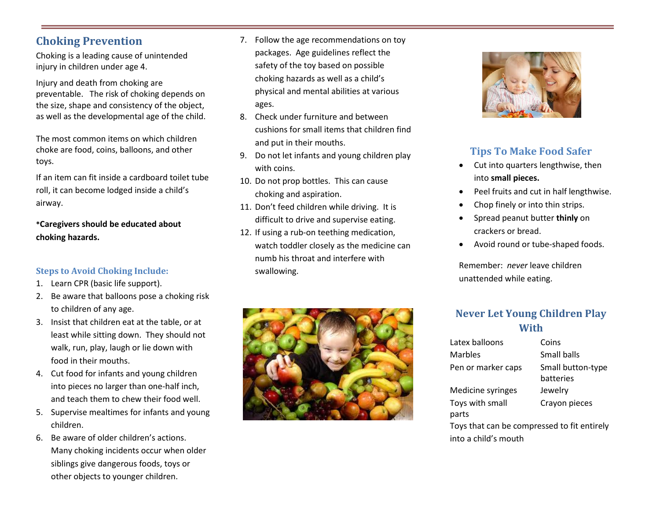## **Choking Prevention**

Choking is a leading cause of unintended injury in children under age 4.

Injury and death from choking are preventable. The risk of choking depends on the size, shape and consistency of the object, as well as the developmental age of the child.

The most common items on which children choke are food, coins, balloons, and other toys.

If an item can fit inside a cardboard toilet tube roll, it can become lodged inside a child's airway.

**\*Caregivers should be educated about choking hazards.**

#### **Steps to Avoid Choking Include:**

- 1. Learn CPR (basic life support).
- 2. Be aware that balloons pose a choking risk to children of any age.
- 3. Insist that children eat at the table, or at least while sitting down. They should not walk, run, play, laugh or lie down with food in their mouths.
- 4. Cut food for infants and young children into pieces no larger than one-half inch, and teach them to chew their food well.
- 5. Supervise mealtimes for infants and young children.
- 6. Be aware of older children's actions. Many choking incidents occur when older siblings give dangerous foods, toys or other objects to younger children.
- 7. Follow the age recommendations on toy packages. Age guidelines reflect the safety of the toy based on possible choking hazards as well as a child's physical and mental abilities at various ages.
- 8. Check under furniture and between cushions for small items that children find and put in their mouths.
- 9. Do not let infants and young children play with coins.
- 10. Do not prop bottles. This can cause choking and aspiration.
- 11. Don't feed children while driving. It is difficult to drive and supervise eating.
- 12. If using a rub-on teething medication, watch toddler closely as the medicine can numb his throat and interfere with swallowing.





## **Tips To Make Food Safer**

- Cut into quarters lengthwise, then into **small pieces.**
- Peel fruits and cut in half lengthwise.
- Chop finely or into thin strips.
- Spread peanut butter **thinly** on crackers or bread.
- Avoid round or tube-shaped foods.

Remember: *never* leave children unattended while eating.

### **Never Let Young Children Play With**

| Latex balloons                              | Coins             |  |
|---------------------------------------------|-------------------|--|
| Marbles                                     | Small balls       |  |
| Pen or marker caps                          | Small button-type |  |
|                                             | hatteries         |  |
| Medicine syringes                           | Jewelry           |  |
| Toys with small                             | Crayon pieces     |  |
| parts                                       |                   |  |
| Toys that can be compressed to fit entirely |                   |  |
| into a child's mouth                        |                   |  |